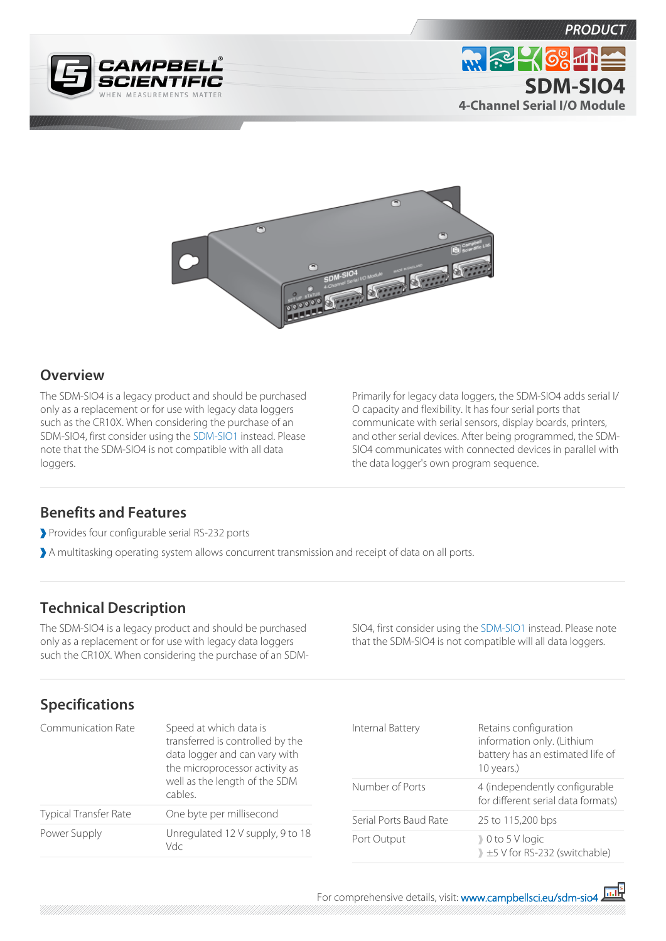





## **Overview**

The SDM-SIO4 is a legacy product and should be purchased only as a replacement or for use with legacy data loggers such as the CR10X. When considering the purchase of an SDM-SIO4, first consider using the [SDM-SIO1](http://www.campbellsci.eu/sdm-sio1) instead. Please note that the SDM-SIO4 is not compatible with all data loggers.

Primarily for legacy data loggers, the SDM-SIO4 adds serial I/ O capacity and flexibility. It has four serial ports that communicate with serial sensors, display boards, printers, and other serial devices. After being programmed, the SDM-SIO4 communicates with connected devices in parallel with the data logger's own program sequence.

## **Benefits and Features**

- Provides four configurable serial RS-232 ports
- A multitasking operating system allows concurrent transmission and receipt of data on all ports.

## **Technical Description**

The SDM-SIO4 is a legacy product and should be purchased only as a replacement or for use with legacy data loggers such the CR10X. When considering the purchase of an SDM- SIO4, first consider using the [SDM-SIO1](http://www.campbellsci.eu/sdm-sio1) instead. Please note that the SDM-SIO4 is not compatible will all data loggers.

## **Specifications**

| <b>Communication Rate</b>    | Speed at which data is<br>transferred is controlled by the<br>data logger and can vary with<br>the microprocessor activity as<br>well as the length of the SDM<br>cables. |
|------------------------------|---------------------------------------------------------------------------------------------------------------------------------------------------------------------------|
| <b>Typical Transfer Rate</b> | One byte per millisecond                                                                                                                                                  |
| Power Supply                 | Unregulated 12 V supply, 9 to 18<br>Vdc                                                                                                                                   |

| Internal Battery       | Retains configuration<br>information only. (Lithium<br>battery has an estimated life of<br>10 years.) |
|------------------------|-------------------------------------------------------------------------------------------------------|
| Number of Ports        | 4 (independently configurable<br>for different serial data formats)                                   |
| Serial Ports Baud Rate | 25 to 115,200 bps                                                                                     |
| Port Output            | $\big\}$ 0 to 5 V logic<br>1 ±5 V for RS-232 (switchable)                                             |